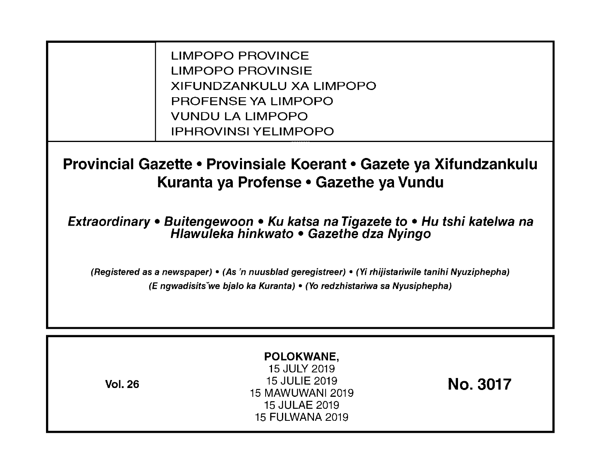LIMPOPO PROVINCE LIMPOPO PROVINSIE XIFUNDZANKULU XA LIMPOPO PROFENSE YA LIMPOPO VUNDU LA LIMPOPO IPHROVINSI YELIMPOPO

**Provincial Gazette • Provinsiale Koerant • Gazete ya Xifundzankulu Kuranta ya Profense • Gazethe ya Vundu** 

**Extraordinary • Buitengewoon • Ku katsa na Tigazete to • Hu tshi katelwa na Hlawuleka hinkwato • Gazethe dza Nyingo** 

(Registered as a newspaper) • (As 'n nuusblad geregistreer) • (Yi rhijistariwile tanihi Nyuziphepha) (E ngwadisitsVwe bjalo ka Kuranta) • (Yo redzhistariwa sa Nyusiphepha)

| <b>Vol. 26</b> | POLOKWANE,<br>15 JULY 2019<br>15 JULIE 2019<br>15 MAWUWANI 2019<br>15 JULAE 2019<br><b>15 FULWANA 2019</b> | <b>No. 3017</b> |
|----------------|------------------------------------------------------------------------------------------------------------|-----------------|
|----------------|------------------------------------------------------------------------------------------------------------|-----------------|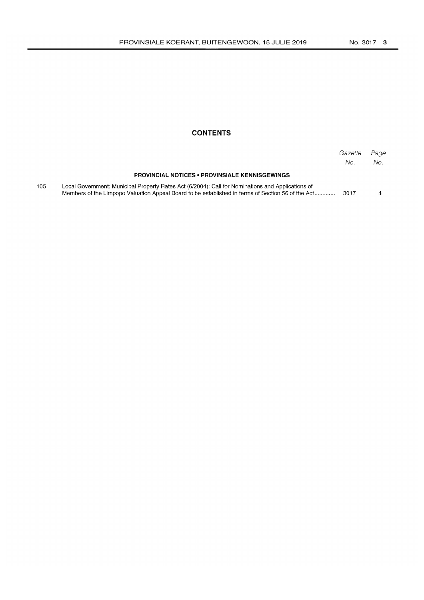# **CONTENTS**

|     |                                                                                                                                                                                                        | Gazette<br>No. | Page<br>No. |
|-----|--------------------------------------------------------------------------------------------------------------------------------------------------------------------------------------------------------|----------------|-------------|
|     | <b>PROVINCIAL NOTICES • PROVINSIALE KENNISGEWINGS</b>                                                                                                                                                  |                |             |
| 105 | Local Government: Municipal Property Rates Act (6/2004): Call for Nominations and Applications of<br>Members of the Limpopo Valuation Appeal Board to be established in terms of Section 56 of the Act | 3017           |             |